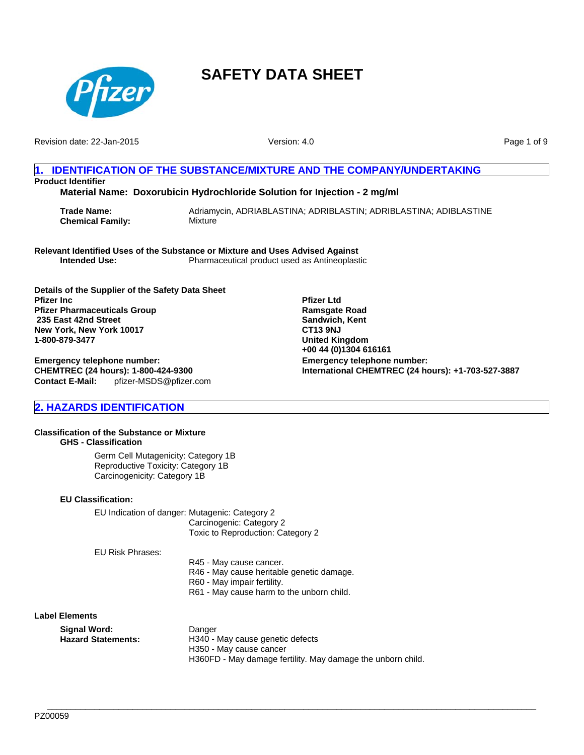

Revision date: 22-Jan-2015

Version: 4.0

**Emergency telephone number:**

**Pfizer Ltd Ramsgate Road Sandwich, Kent CT13 9NJ United Kingdom +00 44 (0)1304 616161**

**International CHEMTREC (24 hours): +1-703-527-3887**

Page 1 of 9

## **1. IDENTIFICATION OF THE SUBSTANCE/MIXTURE AND THE COMPANY/UNDERTAKING Product Identifier**

**Material Name: Doxorubicin Hydrochloride Solution for Injection - 2 mg/ml**

**Trade Name:** Adriamycin, ADRIABLASTINA; ADRIBLASTIN; ADRIBLASTINA; ADIBLASTINE **Chemical Family:** Mixture

**Relevant Identified Uses of the Substance or Mixture and Uses Advised Against Intended Use:** Pharmaceutical product used as Antineoplastic

**Details of the Supplier of the Safety Data Sheet Pfizer Inc Pfizer Pharmaceuticals Group 235 East 42nd Street New York, New York 10017 1-800-879-3477**

**Contact E-Mail:** pfizer-MSDS@pfizer.com **Emergency telephone number: CHEMTREC (24 hours): 1-800-424-9300**

**2. HAZARDS IDENTIFICATION**

#### **Classification of the Substance or Mixture GHS - Classification**

Germ Cell Mutagenicity: Category 1B Reproductive Toxicity: Category 1B Carcinogenicity: Category 1B

#### **EU Classification:**

EU Indication of danger: Mutagenic: Category 2 Carcinogenic: Category 2 Toxic to Reproduction: Category 2

EU Risk Phrases:

R45 - May cause cancer. R46 - May cause heritable genetic damage. R60 - May impair fertility. R61 - May cause harm to the unborn child.

**\_\_\_\_\_\_\_\_\_\_\_\_\_\_\_\_\_\_\_\_\_\_\_\_\_\_\_\_\_\_\_\_\_\_\_\_\_\_\_\_\_\_\_\_\_\_\_\_\_\_\_\_\_\_\_\_\_\_\_\_\_\_\_\_\_\_\_\_\_\_\_\_\_\_\_\_\_\_\_\_\_\_\_\_\_\_\_\_\_\_\_\_\_\_\_\_\_\_\_\_\_\_\_**

**Label Elements**

| Signal Word:       | Danger                                                      |
|--------------------|-------------------------------------------------------------|
| Hazard Statements: | H340 - May cause genetic defects                            |
|                    | H350 - May cause cancer                                     |
|                    | H360FD - May damage fertility. May damage the unborn child. |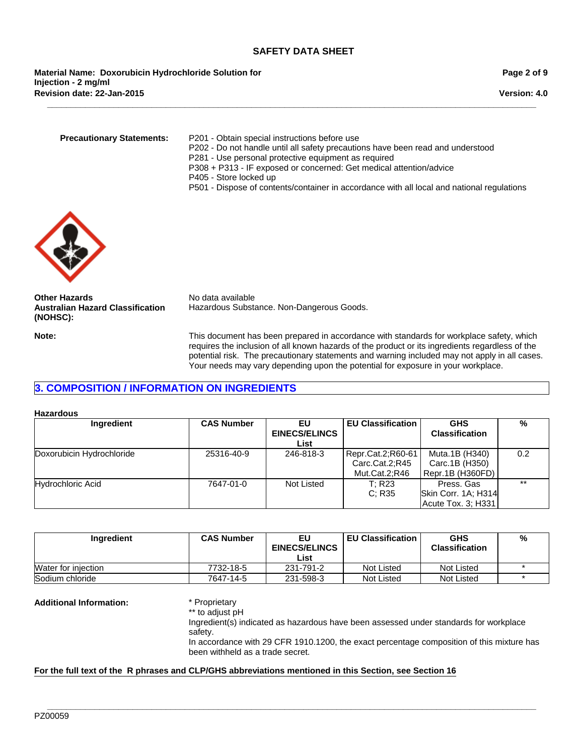**Revision date: 22-Jan-2015 Material Name: Doxorubicin Hydrochloride Solution for Injection - 2 mg/ml**

**Version: 4.0**

**Precautionary Statements:** P201 - Obtain special instructions before use

- P202 Do not handle until all safety precautions have been read and understood
- P281 Use personal protective equipment as required

**\_\_\_\_\_\_\_\_\_\_\_\_\_\_\_\_\_\_\_\_\_\_\_\_\_\_\_\_\_\_\_\_\_\_\_\_\_\_\_\_\_\_\_\_\_\_\_\_\_\_\_\_\_\_\_\_\_\_\_\_\_\_\_\_\_\_\_\_\_\_\_\_\_\_\_\_\_\_\_\_\_\_\_\_\_\_\_\_\_\_\_\_\_\_\_\_\_\_\_\_\_\_\_**

- P308 + P313 IF exposed or concerned: Get medical attention/advice
- P405 Store locked up
- P501 Dispose of contents/container in accordance with all local and national regulations



**Other Hazards** No data available **Australian Hazard Classification (NOHSC):**

Hazardous Substance. Non-Dangerous Goods.

**Note:** This document has been prepared in accordance with standards for workplace safety, which requires the inclusion of all known hazards of the product or its ingredients regardless of the potential risk. The precautionary statements and warning included may not apply in all cases. Your needs may vary depending upon the potential for exposure in your workplace.

## **3. COMPOSITION / INFORMATION ON INGREDIENTS**

**Hazardous**

| Ingredient                | <b>CAS Number</b> | ΕU<br><b>EINECS/ELINCS</b> | <b>EU Classification</b> | <b>GHS</b><br><b>Classification</b> | %     |
|---------------------------|-------------------|----------------------------|--------------------------|-------------------------------------|-------|
|                           |                   | List                       |                          |                                     |       |
| Doxorubicin Hydrochloride | 25316-40-9        | 246-818-3                  | Repr.Cat.2;R60-61        | Muta.1B (H340)                      | 0.2   |
|                           |                   |                            | Carc.Cat.2;R45           | Carc.1B (H350)                      |       |
|                           |                   |                            | Mut.Cat.2:R46            | Repr.1B (H360FD)                    |       |
| Hydrochloric Acid         | 7647-01-0         | Not Listed                 | T: R23                   | Press, Gas                          | $***$ |
|                           |                   |                            | C: R35                   | Skin Corr. 1A; H314                 |       |
|                           |                   |                            |                          | Acute Tox. 3; H331                  |       |

| Ingredient          | <b>CAS Number</b> | EU<br><b>EINECS/ELINCS</b> | <b>EU Classification</b> | <b>GHS</b><br><b>Classification</b> | % |
|---------------------|-------------------|----------------------------|--------------------------|-------------------------------------|---|
|                     |                   | List                       |                          |                                     |   |
| Water for injection | 7732-18-5         | 231-791-2                  | Not Listed               | Not Listed                          |   |
| Sodium chloride     | 7647-14-5         | 231-598-3                  | Not Listed               | Not Listed                          |   |

**\_\_\_\_\_\_\_\_\_\_\_\_\_\_\_\_\_\_\_\_\_\_\_\_\_\_\_\_\_\_\_\_\_\_\_\_\_\_\_\_\_\_\_\_\_\_\_\_\_\_\_\_\_\_\_\_\_\_\_\_\_\_\_\_\_\_\_\_\_\_\_\_\_\_\_\_\_\_\_\_\_\_\_\_\_\_\_\_\_\_\_\_\_\_\_\_\_\_\_\_\_\_\_**

#### **Additional Information:** \* Proprietary

\*\* to adjust pH

Ingredient(s) indicated as hazardous have been assessed under standards for workplace safety. In accordance with 29 CFR 1910.1200, the exact percentage composition of this mixture has been withheld as a trade secret.

#### **For the full text of the R phrases and CLP/GHS abbreviations mentioned in this Section, see Section 16**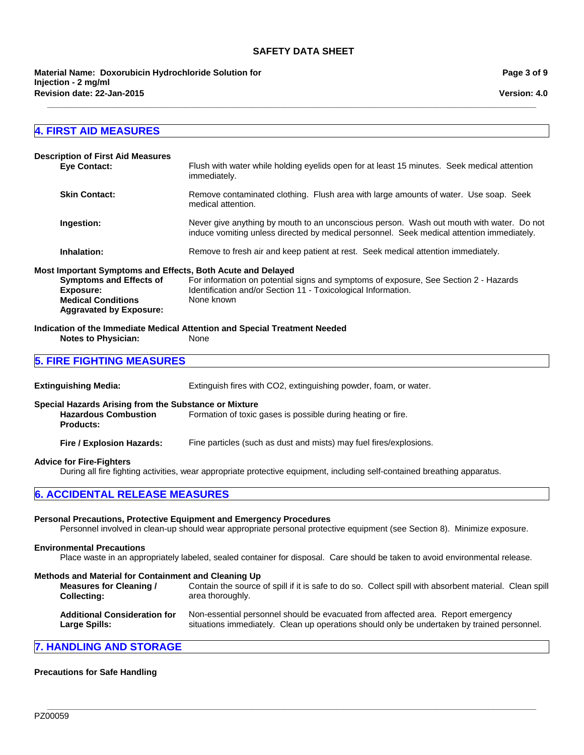**\_\_\_\_\_\_\_\_\_\_\_\_\_\_\_\_\_\_\_\_\_\_\_\_\_\_\_\_\_\_\_\_\_\_\_\_\_\_\_\_\_\_\_\_\_\_\_\_\_\_\_\_\_\_\_\_\_\_\_\_\_\_\_\_\_\_\_\_\_\_\_\_\_\_\_\_\_\_\_\_\_\_\_\_\_\_\_\_\_\_\_\_\_\_\_\_\_\_\_\_\_\_\_**

**Version: 4.0**

## **4. FIRST AID MEASURES**

| <b>Description of First Aid Measures</b><br><b>Eve Contact:</b>                                                                                                           | Flush with water while holding eyelids open for at least 15 minutes. Seek medical attention<br>immediately.                                                                           |
|---------------------------------------------------------------------------------------------------------------------------------------------------------------------------|---------------------------------------------------------------------------------------------------------------------------------------------------------------------------------------|
| <b>Skin Contact:</b>                                                                                                                                                      | Remove contaminated clothing. Flush area with large amounts of water. Use soap. Seek<br>medical attention.                                                                            |
| Ingestion:                                                                                                                                                                | Never give anything by mouth to an unconscious person. Wash out mouth with water. Do not<br>induce vomiting unless directed by medical personnel. Seek medical attention immediately. |
| Inhalation:                                                                                                                                                               | Remove to fresh air and keep patient at rest. Seek medical attention immediately.                                                                                                     |
| Most Important Symptoms and Effects, Both Acute and Delayed<br><b>Symptoms and Effects of</b><br>Exposure:<br><b>Medical Conditions</b><br><b>Aggravated by Exposure:</b> | For information on potential signs and symptoms of exposure, See Section 2 - Hazards<br>Identification and/or Section 11 - Toxicological Information.<br>None known                   |

**Indication of the Immediate Medical Attention and Special Treatment Needed Notes to Physician:** 

**5. FIRE FIGHTING MEASURES**

**Extinguishing Media:** Extinguish fires with CO2, extinguishing powder, foam, or water.

**Special Hazards Arising from the Substance or Mixture**

**Hazardous Combustion Products:** Formation of toxic gases is possible during heating or fire.

**Fire / Explosion Hazards:** Fine particles (such as dust and mists) may fuel fires/explosions.

#### **Advice for Fire-Fighters**

During all fire fighting activities, wear appropriate protective equipment, including self-contained breathing apparatus.

## **6. ACCIDENTAL RELEASE MEASURES**

#### **Personal Precautions, Protective Equipment and Emergency Procedures**

Personnel involved in clean-up should wear appropriate personal protective equipment (see Section 8). Minimize exposure.

#### **Environmental Precautions**

Place waste in an appropriately labeled, sealed container for disposal. Care should be taken to avoid environmental release.

#### **Methods and Material for Containment and Cleaning Up**

| <b>Measures for Cleaning /</b>      | Contain the source of spill if it is safe to do so. Collect spill with absorbent material. Clean spill |
|-------------------------------------|--------------------------------------------------------------------------------------------------------|
| <b>Collecting:</b>                  | area thoroughly.                                                                                       |
| <b>Additional Consideration for</b> | Non-essential personnel should be evacuated from affected area. Report emergency                       |
| Large Spills:                       | situations immediately. Clean up operations should only be undertaken by trained personnel.            |

**\_\_\_\_\_\_\_\_\_\_\_\_\_\_\_\_\_\_\_\_\_\_\_\_\_\_\_\_\_\_\_\_\_\_\_\_\_\_\_\_\_\_\_\_\_\_\_\_\_\_\_\_\_\_\_\_\_\_\_\_\_\_\_\_\_\_\_\_\_\_\_\_\_\_\_\_\_\_\_\_\_\_\_\_\_\_\_\_\_\_\_\_\_\_\_\_\_\_\_\_\_\_\_**

## **7. HANDLING AND STORAGE**

#### **Precautions for Safe Handling**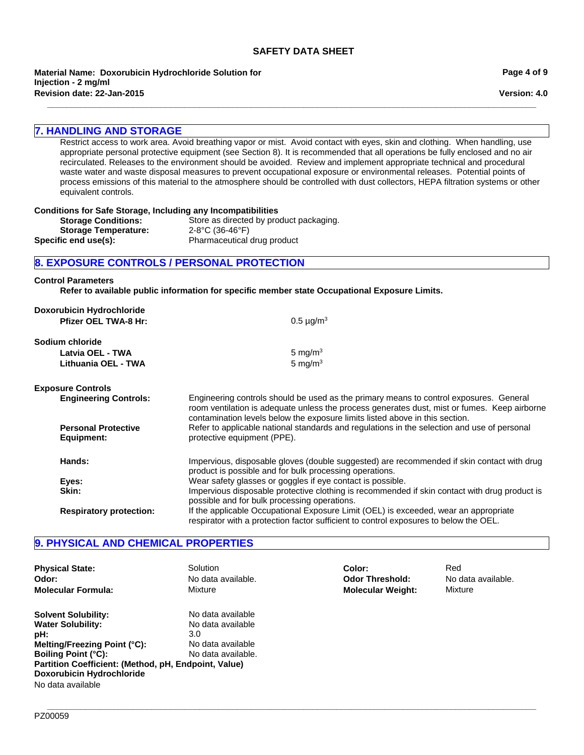**Revision date: 22-Jan-2015 Material Name: Doxorubicin Hydrochloride Solution for Injection - 2 mg/ml**

## **7. HANDLING AND STORAGE**

Restrict access to work area. Avoid breathing vapor or mist. Avoid contact with eyes, skin and clothing. When handling, use appropriate personal protective equipment (see Section 8). It is recommended that all operations be fully enclosed and no air recirculated. Releases to the environment should be avoided. Review and implement appropriate technical and procedural waste water and waste disposal measures to prevent occupational exposure or environmental releases. Potential points of process emissions of this material to the atmosphere should be controlled with dust collectors, HEPA filtration systems or other equivalent controls.

**\_\_\_\_\_\_\_\_\_\_\_\_\_\_\_\_\_\_\_\_\_\_\_\_\_\_\_\_\_\_\_\_\_\_\_\_\_\_\_\_\_\_\_\_\_\_\_\_\_\_\_\_\_\_\_\_\_\_\_\_\_\_\_\_\_\_\_\_\_\_\_\_\_\_\_\_\_\_\_\_\_\_\_\_\_\_\_\_\_\_\_\_\_\_\_\_\_\_\_\_\_\_\_**

| equivalent controls.                                                                                        |                                                                                                                                                                                                                                                                                                                                                                                                      |  |  |
|-------------------------------------------------------------------------------------------------------------|------------------------------------------------------------------------------------------------------------------------------------------------------------------------------------------------------------------------------------------------------------------------------------------------------------------------------------------------------------------------------------------------------|--|--|
| <b>Storage Conditions:</b><br><b>Storage Temperature:</b><br>Specific end use(s):                           | <b>Conditions for Safe Storage, Including any Incompatibilities</b><br>Store as directed by product packaging.<br>2-8°C (36-46°F)<br>Pharmaceutical drug product                                                                                                                                                                                                                                     |  |  |
|                                                                                                             | 8. EXPOSURE CONTROLS / PERSONAL PROTECTION                                                                                                                                                                                                                                                                                                                                                           |  |  |
| <b>Control Parameters</b>                                                                                   | Refer to available public information for specific member state Occupational Exposure Limits.                                                                                                                                                                                                                                                                                                        |  |  |
| Doxorubicin Hydrochloride<br><b>Pfizer OEL TWA-8 Hr:</b>                                                    | $0.5 \mu g/m^3$                                                                                                                                                                                                                                                                                                                                                                                      |  |  |
| Sodium chloride<br>Latvia OEL - TWA<br>Lithuania OEL - TWA                                                  | 5 mg/m <sup>3</sup><br>5 mg/ $m3$                                                                                                                                                                                                                                                                                                                                                                    |  |  |
| <b>Exposure Controls</b><br><b>Engineering Controls:</b><br><b>Personal Protective</b><br><b>Equipment:</b> | Engineering controls should be used as the primary means to control exposures. General<br>room ventilation is adequate unless the process generates dust, mist or fumes. Keep airborne<br>contamination levels below the exposure limits listed above in this section.<br>Refer to applicable national standards and regulations in the selection and use of personal<br>protective equipment (PPE). |  |  |
| Hands:<br>Eyes:<br>Skin:                                                                                    | Impervious, disposable gloves (double suggested) are recommended if skin contact with drug<br>product is possible and for bulk processing operations.<br>Wear safety glasses or goggles if eye contact is possible.<br>Impervious disposable protective clothing is recommended if skin contact with drug product is<br>possible and for bulk processing operations.                                 |  |  |
| <b>Respiratory protection:</b>                                                                              | If the applicable Occupational Exposure Limit (OEL) is exceeded, wear an appropriate                                                                                                                                                                                                                                                                                                                 |  |  |

## **9. PHYSICAL AND CHEMICAL PROPERTIES**

| <b>Physical State:</b>                                                                                                                                                                                                                       | Solution                                                                                 | Color:                   | Red                |
|----------------------------------------------------------------------------------------------------------------------------------------------------------------------------------------------------------------------------------------------|------------------------------------------------------------------------------------------|--------------------------|--------------------|
| Odor:                                                                                                                                                                                                                                        | No data available.                                                                       | <b>Odor Threshold:</b>   | No data available. |
| <b>Molecular Formula:</b>                                                                                                                                                                                                                    | Mixture                                                                                  | <b>Molecular Weight:</b> | Mixture            |
| <b>Solvent Solubility:</b><br><b>Water Solubility:</b><br>pH:<br>Melting/Freezing Point (°C):<br><b>Boiling Point (°C):</b><br>Partition Coefficient: (Method, pH, Endpoint, Value)<br><b>Doxorubicin Hydrochloride</b><br>No data available | No data available<br>No data available<br>3.0<br>No data available<br>No data available. |                          |                    |

respirator with a protection factor sufficient to control exposures to below the OEL.

**Page 4 of 9**

**Version: 4.0**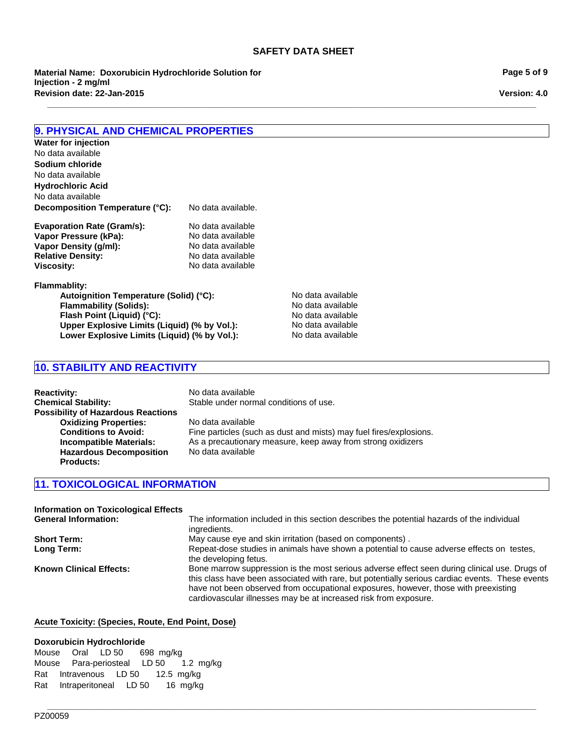**\_\_\_\_\_\_\_\_\_\_\_\_\_\_\_\_\_\_\_\_\_\_\_\_\_\_\_\_\_\_\_\_\_\_\_\_\_\_\_\_\_\_\_\_\_\_\_\_\_\_\_\_\_\_\_\_\_\_\_\_\_\_\_\_\_\_\_\_\_\_\_\_\_\_\_\_\_\_\_\_\_\_\_\_\_\_\_\_\_\_\_\_\_\_\_\_\_\_\_\_\_\_\_**

**Material Name: Doxorubicin Hydrochloride Solution for Injection - 2 mg/ml Revision date: 22-Jan-2015**

**Page 5 of 9**

**Version: 4.0**

## **9. PHYSICAL AND CHEMICAL PROPERTIES**

**Decomposition Temperature (°C):** No data available. **Evaporation Rate (Gram/s):** No data available<br> **Vapor Pressure (kPa):** No data available **Vapor Pressure (kPa):** No data available<br> **Vapor Density (g/ml):** No data available **Vapor Density (g/ml): Relative Density:** No data available **Viscosity:** No data available **Sodium chloride** No data available **Hydrochloric Acid Water for injection** No data available No data available

**Flammablity:**

**Autoignition Temperature (Solid) (°C):** No data available<br> **Flammability (Solids):** No data available **Flammability (Solids):** No data available<br> **Flash Point (Liquid) (°C):** No data available **Flash Point (Liquid) (°C):**<br> **Upper Explosive Limits (Liquid) (% by Vol.):** No data available **Upper Explosive Limits (Liquid) (% by Vol.):** No data available<br>
Lower Explosive Limits (Liquid) (% by Vol.): No data available Lower Explosive Limits (Liquid) (% by Vol.):

## **10. STABILITY AND REACTIVITY**

| <b>Reactivity:</b>                        | No data available                                                  |
|-------------------------------------------|--------------------------------------------------------------------|
| <b>Chemical Stability:</b>                | Stable under normal conditions of use.                             |
| <b>Possibility of Hazardous Reactions</b> |                                                                    |
| <b>Oxidizing Properties:</b>              | No data available                                                  |
| <b>Conditions to Avoid:</b>               | Fine particles (such as dust and mists) may fuel fires/explosions. |
| <b>Incompatible Materials:</b>            | As a precautionary measure, keep away from strong oxidizers        |
| <b>Hazardous Decomposition</b>            | No data available                                                  |
| <b>Products:</b>                          |                                                                    |

## **11. TOXICOLOGICAL INFORMATION**

**Information on Toxicological Effects**

| Information on Toxicological Effects |                                                                                                                                                                                                                                                                                                                                                             |
|--------------------------------------|-------------------------------------------------------------------------------------------------------------------------------------------------------------------------------------------------------------------------------------------------------------------------------------------------------------------------------------------------------------|
| <b>General Information:</b>          | The information included in this section describes the potential hazards of the individual                                                                                                                                                                                                                                                                  |
|                                      | ingredients.                                                                                                                                                                                                                                                                                                                                                |
| <b>Short Term:</b>                   | May cause eye and skin irritation (based on components).                                                                                                                                                                                                                                                                                                    |
| Long Term:                           | Repeat-dose studies in animals have shown a potential to cause adverse effects on testes,<br>the developing fetus.                                                                                                                                                                                                                                          |
| <b>Known Clinical Effects:</b>       | Bone marrow suppression is the most serious adverse effect seen during clinical use. Drugs of<br>this class have been associated with rare, but potentially serious cardiac events. These events<br>have not been observed from occupational exposures, however, those with preexisting<br>cardiovascular illnesses may be at increased risk from exposure. |

**\_\_\_\_\_\_\_\_\_\_\_\_\_\_\_\_\_\_\_\_\_\_\_\_\_\_\_\_\_\_\_\_\_\_\_\_\_\_\_\_\_\_\_\_\_\_\_\_\_\_\_\_\_\_\_\_\_\_\_\_\_\_\_\_\_\_\_\_\_\_\_\_\_\_\_\_\_\_\_\_\_\_\_\_\_\_\_\_\_\_\_\_\_\_\_\_\_\_\_\_\_\_\_**

#### **Acute Toxicity: (Species, Route, End Point, Dose)**

#### **Doxorubicin Hydrochloride**

MouseOralLD 50698mg/kg MousePara-periostealLD 501.2 mg/kg RatIntravenousLD 5012.5 mg/kg RatIntraperitonealLD 5016 mg/kg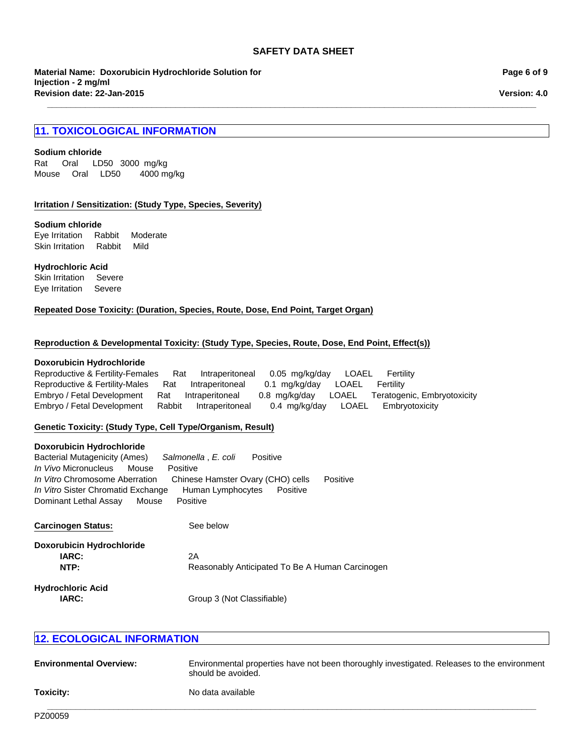**\_\_\_\_\_\_\_\_\_\_\_\_\_\_\_\_\_\_\_\_\_\_\_\_\_\_\_\_\_\_\_\_\_\_\_\_\_\_\_\_\_\_\_\_\_\_\_\_\_\_\_\_\_\_\_\_\_\_\_\_\_\_\_\_\_\_\_\_\_\_\_\_\_\_\_\_\_\_\_\_\_\_\_\_\_\_\_\_\_\_\_\_\_\_\_\_\_\_\_\_\_\_\_**

**Material Name: Doxorubicin Hydrochloride Solution for Injection - 2 mg/ml Revision date: 22-Jan-2015**

## **11. TOXICOLOGICAL INFORMATION**

#### **Sodium chloride**

Rat Oral LD50 3000mg/kg MouseOralLD50 4000 mg/kg

#### **Irritation / Sensitization: (Study Type, Species, Severity)**

#### **Sodium chloride**

Eye IrritationRabbitModerate Skin IrritationRabbitMild

#### **Hydrochloric Acid**

Skin IrritationSevere Eye IrritationSevere

**Repeated Dose Toxicity: (Duration, Species, Route, Dose, End Point, Target Organ)**

#### **Reproduction & Developmental Toxicity: (Study Type, Species, Route, Dose, End Point, Effect(s))**

#### **Doxorubicin Hydrochloride**

Reproductive & Fertility-FemalesRatIntraperitoneal0.05mg/kg/dayLOAELFertility Reproductive & Fertility-MalesRatIntraperitoneal0.1mg/kg/dayLOAELFertility Embryo / Fetal DevelopmentRatIntraperitoneal0.8mg/kg/dayLOAELTeratogenic, Embryotoxicity Embryo / Fetal DevelopmentRabbitIntraperitoneal0.4mg/kg/dayLOAELEmbryotoxicity

#### **Genetic Toxicity: (Study Type, Cell Type/Organism, Result)**

#### **Doxorubicin Hydrochloride**

| Bacterial Mutagenicity (Ames)      |       | Salmonella . E. coli              | Positive |          |          |
|------------------------------------|-------|-----------------------------------|----------|----------|----------|
| <i>In Vivo</i> Micronucleus        | Mouse | Positive                          |          |          |          |
| In Vitro Chromosome Aberration     |       | Chinese Hamster Ovary (CHO) cells |          |          | Positive |
| In Vitro Sister Chromatid Exchange |       | Human Lymphocytes                 |          | Positive |          |
| Dominant Lethal Assay              | Mouse | Positive                          |          |          |          |
|                                    |       |                                   |          |          |          |

| <b>Carcinogen Status:</b>        | See below                                       |
|----------------------------------|-------------------------------------------------|
| <b>Doxorubicin Hydrochloride</b> |                                                 |
| IARC:                            | 2A                                              |
| NTP:                             | Reasonably Anticipated To Be A Human Carcinogen |
| <b>Hydrochloric Acid</b>         |                                                 |
| IARC:                            | Group 3 (Not Classifiable)                      |

## **12. ECOLOGICAL INFORMATION**

| <b>Environmental Overview:</b> | Environmental properties have not been thoroughly investigated. Releases to the environment<br>should be avoided. |
|--------------------------------|-------------------------------------------------------------------------------------------------------------------|
| Toxicity:                      | No data available                                                                                                 |

**Page 6 of 9**

**Version: 4.0**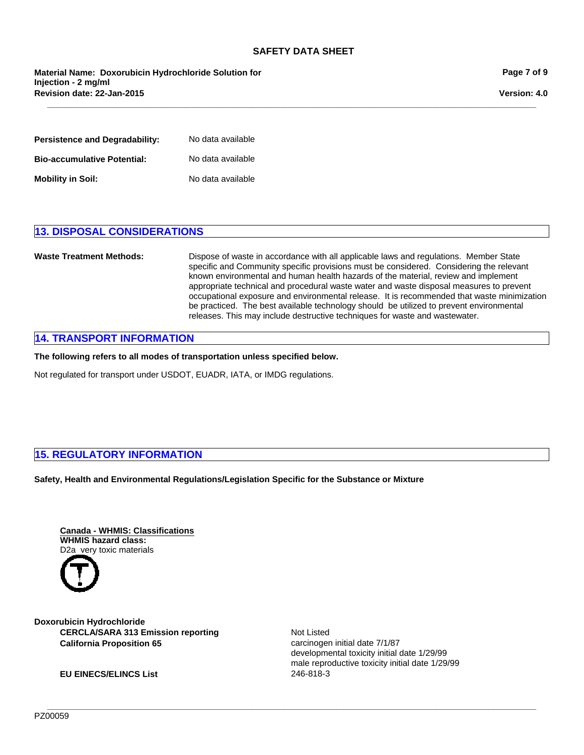**\_\_\_\_\_\_\_\_\_\_\_\_\_\_\_\_\_\_\_\_\_\_\_\_\_\_\_\_\_\_\_\_\_\_\_\_\_\_\_\_\_\_\_\_\_\_\_\_\_\_\_\_\_\_\_\_\_\_\_\_\_\_\_\_\_\_\_\_\_\_\_\_\_\_\_\_\_\_\_\_\_\_\_\_\_\_\_\_\_\_\_\_\_\_\_\_\_\_\_\_\_\_\_**

**Material Name: Doxorubicin Hydrochloride Solution for Injection - 2 mg/ml Revision date: 22-Jan-2015**

**Page 7 of 9**

**Version: 4.0**

| Persistence and Degradability:     | No data available |
|------------------------------------|-------------------|
| <b>Bio-accumulative Potential:</b> | No data available |
| Mobility in Soil:                  | No data available |

## **13. DISPOSAL CONSIDERATIONS**

**Waste Treatment Methods:** Dispose of waste in accordance with all applicable laws and regulations. Member State specific and Community specific provisions must be considered. Considering the relevant known environmental and human health hazards of the material, review and implement appropriate technical and procedural waste water and waste disposal measures to prevent occupational exposure and environmental release. It is recommended that waste minimization be practiced. The best available technology should be utilized to prevent environmental releases. This may include destructive techniques for waste and wastewater.

**\_\_\_\_\_\_\_\_\_\_\_\_\_\_\_\_\_\_\_\_\_\_\_\_\_\_\_\_\_\_\_\_\_\_\_\_\_\_\_\_\_\_\_\_\_\_\_\_\_\_\_\_\_\_\_\_\_\_\_\_\_\_\_\_\_\_\_\_\_\_\_\_\_\_\_\_\_\_\_\_\_\_\_\_\_\_\_\_\_\_\_\_\_\_\_\_\_\_\_\_\_\_\_**

## **14. TRANSPORT INFORMATION**

**The following refers to all modes of transportation unless specified below.**

Not regulated for transport under USDOT, EUADR, IATA, or IMDG regulations.

## **15. REGULATORY INFORMATION**

**Safety, Health and Environmental Regulations/Legislation Specific for the Substance or Mixture**

**Canada - WHMIS: Classifications WHMIS hazard class:** D2a very toxic materials



**California Proposition 65 carcinogen initial date 7/1/87 Doxorubicin Hydrochloride CERCLA/SARA 313 Emission reporting**

**EU EINECS/ELINCS List** 246-818-3

Not Listed developmental toxicity initial date 1/29/99 male reproductive toxicity initial date 1/29/99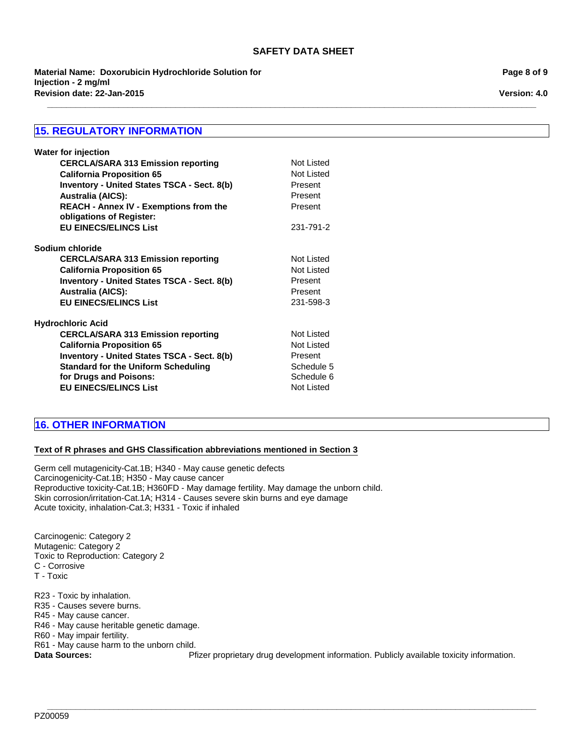**\_\_\_\_\_\_\_\_\_\_\_\_\_\_\_\_\_\_\_\_\_\_\_\_\_\_\_\_\_\_\_\_\_\_\_\_\_\_\_\_\_\_\_\_\_\_\_\_\_\_\_\_\_\_\_\_\_\_\_\_\_\_\_\_\_\_\_\_\_\_\_\_\_\_\_\_\_\_\_\_\_\_\_\_\_\_\_\_\_\_\_\_\_\_\_\_\_\_\_\_\_\_\_**

**Revision date: 22-Jan-2015 Material Name: Doxorubicin Hydrochloride Solution for Injection - 2 mg/ml**

## **15. REGULATORY INFORMATION**

| <b>Water for injection</b>                         |                   |
|----------------------------------------------------|-------------------|
| <b>CERCLA/SARA 313 Emission reporting</b>          | Not Listed        |
| <b>California Proposition 65</b>                   | Not Listed        |
| <b>Inventory - United States TSCA - Sect. 8(b)</b> | Present           |
| <b>Australia (AICS):</b>                           | Present           |
| REACH - Annex IV - Exemptions from the             | Present           |
| obligations of Register:                           |                   |
| <b>EU EINECS/ELINCS List</b>                       | 231-791-2         |
| Sodium chloride                                    |                   |
| <b>CERCLA/SARA 313 Emission reporting</b>          | Not Listed        |
| <b>California Proposition 65</b>                   | Not Listed        |
| <b>Inventory - United States TSCA - Sect. 8(b)</b> | Present           |
| <b>Australia (AICS):</b>                           | Present           |
| <b>EU EINECS/ELINCS List</b>                       | 231-598-3         |
| <b>Hydrochloric Acid</b>                           |                   |
| <b>CERCLA/SARA 313 Emission reporting</b>          | Not Listed        |
| <b>California Proposition 65</b>                   | <b>Not Listed</b> |
| <b>Inventory - United States TSCA - Sect. 8(b)</b> | Present           |
| <b>Standard for the Uniform Scheduling</b>         | Schedule 5        |
| for Drugs and Poisons:                             | Schedule 6        |
| <b>EU EINECS/ELINCS List</b>                       | <b>Not Listed</b> |
|                                                    |                   |

## **16. OTHER INFORMATION**

#### **Text of R phrases and GHS Classification abbreviations mentioned in Section 3**

Germ cell mutagenicity-Cat.1B; H340 - May cause genetic defects Carcinogenicity-Cat.1B; H350 - May cause cancer Reproductive toxicity-Cat.1B; H360FD - May damage fertility. May damage the unborn child. Skin corrosion/irritation-Cat.1A; H314 - Causes severe skin burns and eye damage Acute toxicity, inhalation-Cat.3; H331 - Toxic if inhaled

Carcinogenic: Category 2 Mutagenic: Category 2 Toxic to Reproduction: Category 2 C - Corrosive T - Toxic

R23 - Toxic by inhalation.

R35 - Causes severe burns.

R45 - May cause cancer.

R46 - May cause heritable genetic damage.

R60 - May impair fertility.

R61 - May cause harm to the unborn child.

Data Sources: **Phizer proprietary drug development information.** Publicly available toxicity information.

**\_\_\_\_\_\_\_\_\_\_\_\_\_\_\_\_\_\_\_\_\_\_\_\_\_\_\_\_\_\_\_\_\_\_\_\_\_\_\_\_\_\_\_\_\_\_\_\_\_\_\_\_\_\_\_\_\_\_\_\_\_\_\_\_\_\_\_\_\_\_\_\_\_\_\_\_\_\_\_\_\_\_\_\_\_\_\_\_\_\_\_\_\_\_\_\_\_\_\_\_\_\_\_**

**Page 8 of 9**

**Version: 4.0**